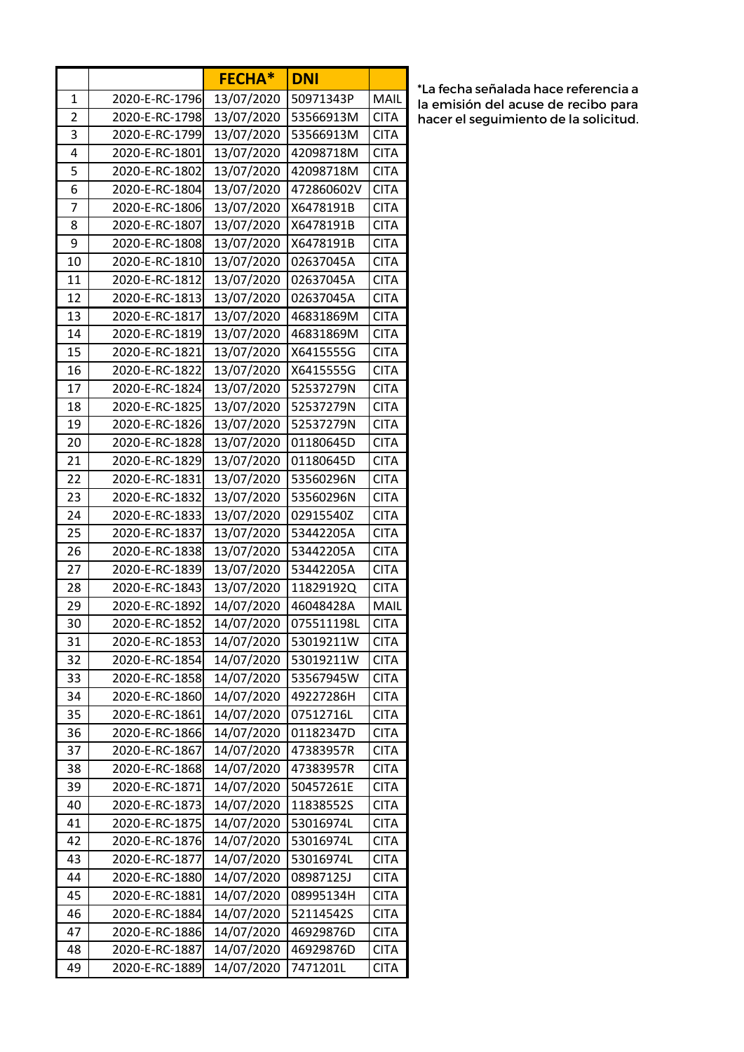|                |                | <b>FECHA*</b> | <b>DNI</b> |             |
|----------------|----------------|---------------|------------|-------------|
| 1              | 2020-E-RC-1796 | 13/07/2020    | 50971343P  | MAIL        |
| $\overline{2}$ | 2020-E-RC-1798 | 13/07/2020    | 53566913M  | <b>CITA</b> |
| 3              | 2020-E-RC-1799 | 13/07/2020    | 53566913M  | <b>CITA</b> |
| 4              | 2020-E-RC-1801 | 13/07/2020    | 42098718M  | <b>CITA</b> |
| 5              | 2020-E-RC-1802 | 13/07/2020    | 42098718M  | <b>CITA</b> |
| 6              | 2020-E-RC-1804 | 13/07/2020    | 472860602V | <b>CITA</b> |
| 7              | 2020-E-RC-1806 | 13/07/2020    | X6478191B  | <b>CITA</b> |
| 8              | 2020-E-RC-1807 | 13/07/2020    | X6478191B  | <b>CITA</b> |
| 9              | 2020-E-RC-1808 | 13/07/2020    | X6478191B  | <b>CITA</b> |
| 10             | 2020-E-RC-1810 | 13/07/2020    | 02637045A  | <b>CITA</b> |
| 11             | 2020-E-RC-1812 | 13/07/2020    | 02637045A  | <b>CITA</b> |
| 12             | 2020-E-RC-1813 | 13/07/2020    | 02637045A  | <b>CITA</b> |
| 13             | 2020-E-RC-1817 | 13/07/2020    | 46831869M  | <b>CITA</b> |
| 14             | 2020-E-RC-1819 | 13/07/2020    | 46831869M  | <b>CITA</b> |
| 15             | 2020-E-RC-1821 | 13/07/2020    | X6415555G  | <b>CITA</b> |
| 16             | 2020-E-RC-1822 | 13/07/2020    | X6415555G  | <b>CITA</b> |
| 17             | 2020-E-RC-1824 | 13/07/2020    | 52537279N  | <b>CITA</b> |
| 18             | 2020-E-RC-1825 | 13/07/2020    | 52537279N  | <b>CITA</b> |
| 19             | 2020-E-RC-1826 | 13/07/2020    | 52537279N  | <b>CITA</b> |
| 20             | 2020-E-RC-1828 | 13/07/2020    | 01180645D  | <b>CITA</b> |
| 21             | 2020-E-RC-1829 | 13/07/2020    | 01180645D  | <b>CITA</b> |
| 22             | 2020-E-RC-1831 | 13/07/2020    | 53560296N  | <b>CITA</b> |
| 23             | 2020-E-RC-1832 | 13/07/2020    | 53560296N  | <b>CITA</b> |
| 24             | 2020-E-RC-1833 | 13/07/2020    | 02915540Z  | <b>CITA</b> |
| 25             | 2020-E-RC-1837 | 13/07/2020    | 53442205A  | <b>CITA</b> |
| 26             | 2020-E-RC-1838 | 13/07/2020    | 53442205A  | <b>CITA</b> |
| 27             | 2020-E-RC-1839 | 13/07/2020    | 53442205A  | <b>CITA</b> |
| 28             | 2020-E-RC-1843 | 13/07/2020    | 11829192Q  | <b>CITA</b> |
| 29             | 2020-E-RC-1892 | 14/07/2020    | 46048428A  | MAIL        |
| 30             | 2020-E-RC-1852 | 14/07/2020    | 075511198L | <b>CITA</b> |
| 31             | 2020-E-RC-1853 | 14/07/2020    | 53019211W  | <b>CITA</b> |
| 32             | 2020-E-RC-1854 | 14/07/2020    | 53019211W  | <b>CITA</b> |
| 33             | 2020-E-RC-1858 | 14/07/2020    | 53567945W  | <b>CITA</b> |
| 34             | 2020-E-RC-1860 | 14/07/2020    | 49227286H  | <b>CITA</b> |
| 35             | 2020-E-RC-1861 | 14/07/2020    | 07512716L  | <b>CITA</b> |
| 36             | 2020-E-RC-1866 | 14/07/2020    | 01182347D  | <b>CITA</b> |
| 37             | 2020-E-RC-1867 | 14/07/2020    | 47383957R  | <b>CITA</b> |
| 38             | 2020-E-RC-1868 | 14/07/2020    | 47383957R  | <b>CITA</b> |
| 39             | 2020-E-RC-1871 | 14/07/2020    | 50457261E  | <b>CITA</b> |
| 40             | 2020-E-RC-1873 | 14/07/2020    | 11838552S  | <b>CITA</b> |
| 41             | 2020-E-RC-1875 | 14/07/2020    | 53016974L  | <b>CITA</b> |
| 42             | 2020-E-RC-1876 | 14/07/2020    | 53016974L  | <b>CITA</b> |
| 43             | 2020-E-RC-1877 | 14/07/2020    | 53016974L  | <b>CITA</b> |
| 44             | 2020-E-RC-1880 | 14/07/2020    | 08987125J  | <b>CITA</b> |
| 45             | 2020-E-RC-1881 | 14/07/2020    | 08995134H  | <b>CITA</b> |
| 46             | 2020-E-RC-1884 | 14/07/2020    | 52114542S  | <b>CITA</b> |
| 47             | 2020-E-RC-1886 | 14/07/2020    | 46929876D  | <b>CITA</b> |
| 48             | 2020-E-RC-1887 | 14/07/2020    | 46929876D  | <b>CITA</b> |
| 49             | 2020-E-RC-1889 | 14/07/2020    | 7471201L   | <b>CITA</b> |

\*La fecha señalada hace referencia a la emisión del acuse de recibo para hacer el seguimiento de la solicitud.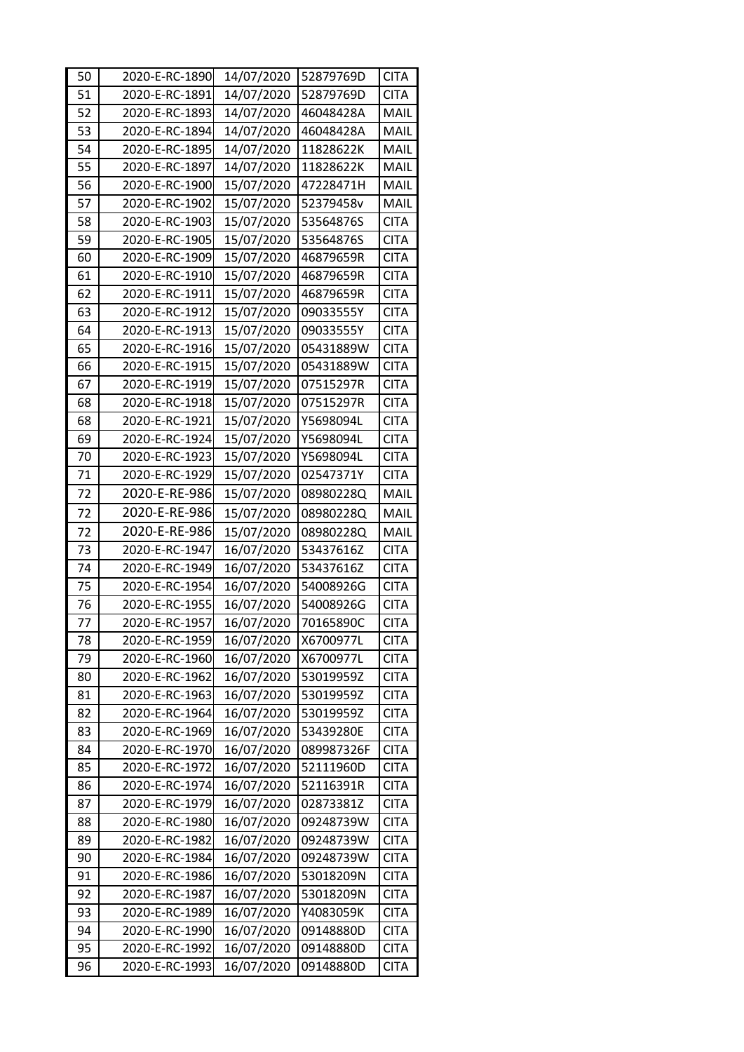| 50 | 2020-E-RC-1890 | 14/07/2020 | 52879769D  | <b>CITA</b> |
|----|----------------|------------|------------|-------------|
| 51 | 2020-E-RC-1891 | 14/07/2020 | 52879769D  | <b>CITA</b> |
| 52 | 2020-E-RC-1893 | 14/07/2020 | 46048428A  | MAIL        |
| 53 | 2020-E-RC-1894 | 14/07/2020 | 46048428A  | MAIL        |
| 54 | 2020-E-RC-1895 | 14/07/2020 | 11828622K  | MAIL        |
| 55 | 2020-E-RC-1897 | 14/07/2020 | 11828622K  | MAIL        |
| 56 | 2020-E-RC-1900 | 15/07/2020 | 47228471H  | MAIL        |
| 57 | 2020-E-RC-1902 | 15/07/2020 | 52379458v  | MAIL        |
| 58 | 2020-E-RC-1903 | 15/07/2020 | 53564876S  | <b>CITA</b> |
| 59 | 2020-E-RC-1905 | 15/07/2020 | 53564876S  | <b>CITA</b> |
| 60 | 2020-E-RC-1909 | 15/07/2020 | 46879659R  | <b>CITA</b> |
| 61 | 2020-E-RC-1910 | 15/07/2020 | 46879659R  | <b>CITA</b> |
| 62 | 2020-E-RC-1911 | 15/07/2020 | 46879659R  | <b>CITA</b> |
| 63 | 2020-E-RC-1912 | 15/07/2020 | 09033555Y  | <b>CITA</b> |
| 64 | 2020-E-RC-1913 | 15/07/2020 | 09033555Y  | <b>CITA</b> |
| 65 | 2020-E-RC-1916 | 15/07/2020 | 05431889W  | <b>CITA</b> |
| 66 | 2020-E-RC-1915 | 15/07/2020 | 05431889W  | <b>CITA</b> |
| 67 | 2020-E-RC-1919 | 15/07/2020 | 07515297R  | <b>CITA</b> |
| 68 | 2020-E-RC-1918 | 15/07/2020 | 07515297R  | <b>CITA</b> |
| 68 | 2020-E-RC-1921 | 15/07/2020 | Y5698094L  | <b>CITA</b> |
| 69 | 2020-E-RC-1924 | 15/07/2020 | Y5698094L  | <b>CITA</b> |
| 70 | 2020-E-RC-1923 | 15/07/2020 | Y5698094L  | <b>CITA</b> |
| 71 | 2020-E-RC-1929 | 15/07/2020 | 02547371Y  | <b>CITA</b> |
| 72 | 2020-E-RE-986  | 15/07/2020 | 08980228Q  | <b>MAIL</b> |
| 72 | 2020-E-RE-986  | 15/07/2020 | 08980228Q  | MAIL        |
| 72 | 2020-E-RE-986  | 15/07/2020 | 08980228Q  | MAIL        |
| 73 | 2020-E-RC-1947 | 16/07/2020 | 53437616Z  | <b>CITA</b> |
| 74 | 2020-E-RC-1949 | 16/07/2020 | 53437616Z  | <b>CITA</b> |
| 75 | 2020-E-RC-1954 | 16/07/2020 | 54008926G  | <b>CITA</b> |
| 76 | 2020-E-RC-1955 | 16/07/2020 | 54008926G  | <b>CITA</b> |
| 77 | 2020-E-RC-1957 | 16/07/2020 | 70165890C  | <b>CITA</b> |
| 78 | 2020-E-RC-1959 | 16/07/2020 | X6700977L  | <b>CITA</b> |
| 79 | 2020-E-RC-1960 | 16/07/2020 | X6700977L  | <b>CITA</b> |
| 80 | 2020-E-RC-1962 | 16/07/2020 | 53019959Z  | <b>CITA</b> |
| 81 | 2020-E-RC-1963 | 16/07/2020 | 53019959Z  | <b>CITA</b> |
| 82 | 2020-E-RC-1964 | 16/07/2020 | 53019959Z  | <b>CITA</b> |
| 83 | 2020-E-RC-1969 | 16/07/2020 | 53439280E  | <b>CITA</b> |
| 84 | 2020-E-RC-1970 | 16/07/2020 | 089987326F | <b>CITA</b> |
| 85 | 2020-E-RC-1972 | 16/07/2020 | 52111960D  | <b>CITA</b> |
| 86 | 2020-E-RC-1974 | 16/07/2020 | 52116391R  | <b>CITA</b> |
| 87 | 2020-E-RC-1979 | 16/07/2020 | 02873381Z  | <b>CITA</b> |
| 88 | 2020-E-RC-1980 | 16/07/2020 | 09248739W  | <b>CITA</b> |
| 89 | 2020-E-RC-1982 | 16/07/2020 | 09248739W  | <b>CITA</b> |
| 90 | 2020-E-RC-1984 | 16/07/2020 | 09248739W  | <b>CITA</b> |
| 91 | 2020-E-RC-1986 | 16/07/2020 | 53018209N  | <b>CITA</b> |
| 92 | 2020-E-RC-1987 | 16/07/2020 | 53018209N  | <b>CITA</b> |
| 93 | 2020-E-RC-1989 | 16/07/2020 | Y4083059K  | <b>CITA</b> |
| 94 | 2020-E-RC-1990 | 16/07/2020 | 09148880D  | <b>CITA</b> |
| 95 | 2020-E-RC-1992 | 16/07/2020 | 09148880D  | <b>CITA</b> |
| 96 | 2020-E-RC-1993 | 16/07/2020 | 09148880D  | <b>CITA</b> |
|    |                |            |            |             |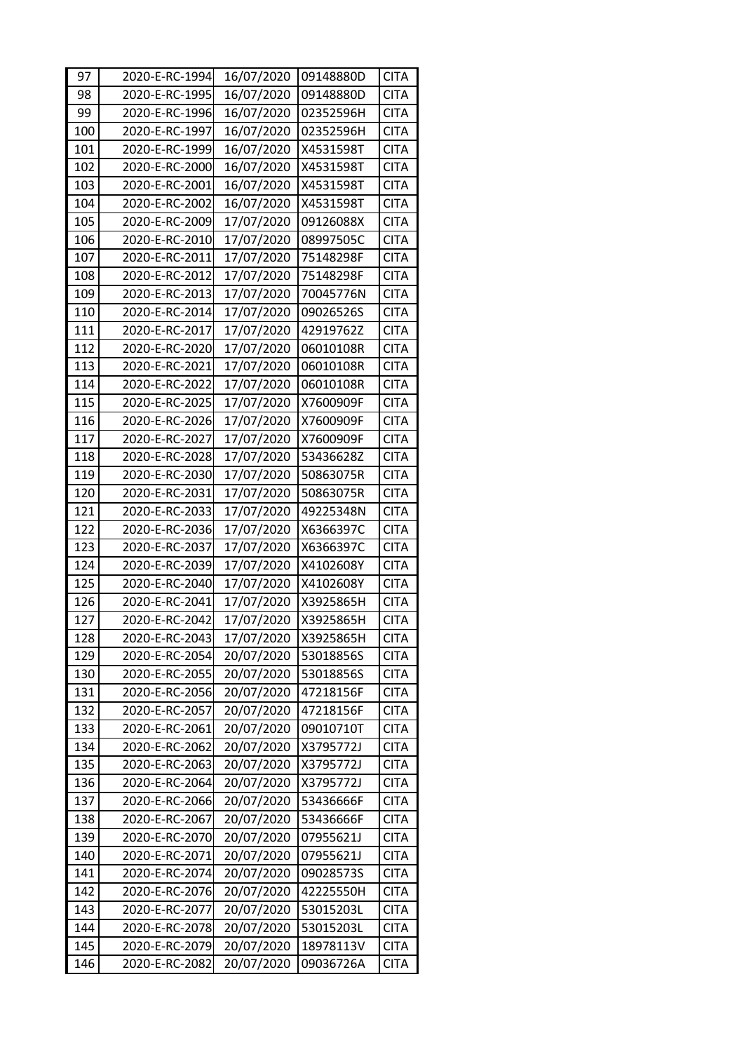| 97  | 2020-E-RC-1994 | 16/07/2020 | 09148880D | <b>CITA</b> |
|-----|----------------|------------|-----------|-------------|
| 98  | 2020-E-RC-1995 | 16/07/2020 | 09148880D | <b>CITA</b> |
| 99  | 2020-E-RC-1996 | 16/07/2020 | 02352596H | <b>CITA</b> |
| 100 | 2020-E-RC-1997 | 16/07/2020 | 02352596H | <b>CITA</b> |
| 101 | 2020-E-RC-1999 | 16/07/2020 | X4531598T | <b>CITA</b> |
| 102 | 2020-E-RC-2000 | 16/07/2020 | X4531598T | <b>CITA</b> |
| 103 | 2020-E-RC-2001 | 16/07/2020 | X4531598T | <b>CITA</b> |
| 104 | 2020-E-RC-2002 | 16/07/2020 | X4531598T | <b>CITA</b> |
| 105 | 2020-E-RC-2009 | 17/07/2020 | 09126088X | <b>CITA</b> |
| 106 | 2020-E-RC-2010 | 17/07/2020 | 08997505C | <b>CITA</b> |
| 107 | 2020-E-RC-2011 | 17/07/2020 | 75148298F | <b>CITA</b> |
| 108 | 2020-E-RC-2012 | 17/07/2020 | 75148298F | <b>CITA</b> |
| 109 | 2020-E-RC-2013 | 17/07/2020 | 70045776N | <b>CITA</b> |
| 110 | 2020-E-RC-2014 | 17/07/2020 | 09026526S | <b>CITA</b> |
| 111 | 2020-E-RC-2017 | 17/07/2020 | 42919762Z | <b>CITA</b> |
| 112 | 2020-E-RC-2020 | 17/07/2020 | 06010108R | <b>CITA</b> |
| 113 | 2020-E-RC-2021 | 17/07/2020 | 06010108R | <b>CITA</b> |
| 114 | 2020-E-RC-2022 | 17/07/2020 | 06010108R | <b>CITA</b> |
| 115 | 2020-E-RC-2025 | 17/07/2020 | X7600909F | <b>CITA</b> |
| 116 | 2020-E-RC-2026 | 17/07/2020 | X7600909F | <b>CITA</b> |
| 117 | 2020-E-RC-2027 | 17/07/2020 | X7600909F | <b>CITA</b> |
| 118 | 2020-E-RC-2028 | 17/07/2020 | 53436628Z | <b>CITA</b> |
| 119 | 2020-E-RC-2030 | 17/07/2020 | 50863075R | <b>CITA</b> |
| 120 | 2020-E-RC-2031 | 17/07/2020 | 50863075R | <b>CITA</b> |
| 121 | 2020-E-RC-2033 | 17/07/2020 | 49225348N | <b>CITA</b> |
| 122 | 2020-E-RC-2036 | 17/07/2020 | X6366397C | <b>CITA</b> |
| 123 | 2020-E-RC-2037 | 17/07/2020 | X6366397C | <b>CITA</b> |
| 124 | 2020-E-RC-2039 | 17/07/2020 | X4102608Y | <b>CITA</b> |
| 125 | 2020-E-RC-2040 | 17/07/2020 | X4102608Y | <b>CITA</b> |
| 126 | 2020-E-RC-2041 | 17/07/2020 | X3925865H | <b>CITA</b> |
| 127 | 2020-E-RC-2042 | 17/07/2020 | X3925865H | <b>CITA</b> |
| 128 | 2020-E-RC-2043 | 17/07/2020 | X3925865H | <b>CITA</b> |
| 129 | 2020-E-RC-2054 | 20/07/2020 | 53018856S | <b>CITA</b> |
| 130 | 2020-E-RC-2055 | 20/07/2020 | 53018856S | <b>CITA</b> |
| 131 | 2020-E-RC-2056 | 20/07/2020 | 47218156F | <b>CITA</b> |
| 132 | 2020-E-RC-2057 | 20/07/2020 | 47218156F | <b>CITA</b> |
| 133 | 2020-E-RC-2061 | 20/07/2020 | 09010710T | <b>CITA</b> |
| 134 | 2020-E-RC-2062 | 20/07/2020 | X3795772J | <b>CITA</b> |
| 135 | 2020-E-RC-2063 | 20/07/2020 | X3795772J | <b>CITA</b> |
| 136 | 2020-E-RC-2064 | 20/07/2020 | X3795772J | <b>CITA</b> |
| 137 | 2020-E-RC-2066 | 20/07/2020 | 53436666F | <b>CITA</b> |
| 138 | 2020-E-RC-2067 | 20/07/2020 | 53436666F | <b>CITA</b> |
| 139 | 2020-E-RC-2070 | 20/07/2020 | 07955621J | <b>CITA</b> |
| 140 | 2020-E-RC-2071 | 20/07/2020 | 07955621J | <b>CITA</b> |
| 141 | 2020-E-RC-2074 | 20/07/2020 | 09028573S | <b>CITA</b> |
|     | 2020-E-RC-2076 | 20/07/2020 | 42225550H | <b>CITA</b> |
| 142 |                |            |           |             |
| 143 | 2020-E-RC-2077 | 20/07/2020 | 53015203L | <b>CITA</b> |
| 144 | 2020-E-RC-2078 | 20/07/2020 | 53015203L | <b>CITA</b> |
| 145 | 2020-E-RC-2079 | 20/07/2020 | 18978113V | <b>CITA</b> |
| 146 | 2020-E-RC-2082 | 20/07/2020 | 09036726A | <b>CITA</b> |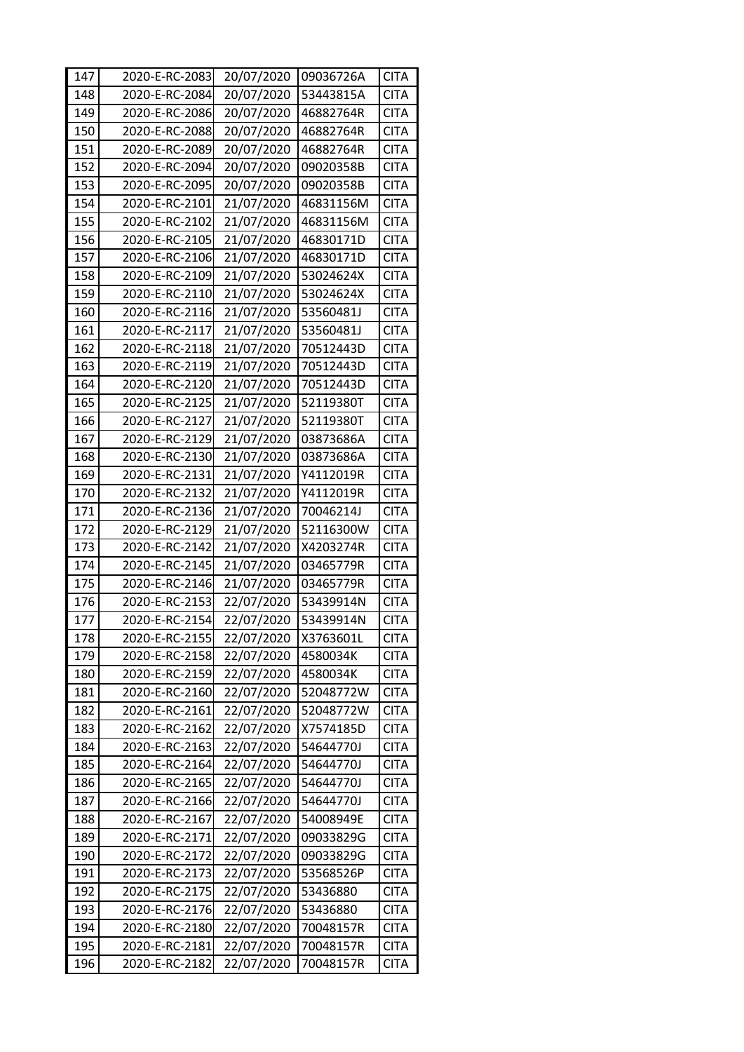| 147 | 2020-E-RC-2083 | 20/07/2020 | 09036726A | <b>CITA</b> |
|-----|----------------|------------|-----------|-------------|
| 148 | 2020-E-RC-2084 | 20/07/2020 | 53443815A | <b>CITA</b> |
| 149 | 2020-E-RC-2086 | 20/07/2020 | 46882764R | <b>CITA</b> |
| 150 | 2020-E-RC-2088 | 20/07/2020 | 46882764R | <b>CITA</b> |
| 151 | 2020-E-RC-2089 | 20/07/2020 | 46882764R | <b>CITA</b> |
| 152 | 2020-E-RC-2094 | 20/07/2020 | 09020358B | <b>CITA</b> |
| 153 | 2020-E-RC-2095 | 20/07/2020 | 09020358B | <b>CITA</b> |
| 154 | 2020-E-RC-2101 | 21/07/2020 | 46831156M | <b>CITA</b> |
| 155 | 2020-E-RC-2102 | 21/07/2020 | 46831156M | <b>CITA</b> |
| 156 | 2020-E-RC-2105 | 21/07/2020 | 46830171D | <b>CITA</b> |
| 157 | 2020-E-RC-2106 | 21/07/2020 | 46830171D | <b>CITA</b> |
| 158 | 2020-E-RC-2109 | 21/07/2020 | 53024624X | <b>CITA</b> |
| 159 | 2020-E-RC-2110 | 21/07/2020 | 53024624X | <b>CITA</b> |
| 160 | 2020-E-RC-2116 | 21/07/2020 | 53560481J | <b>CITA</b> |
| 161 | 2020-E-RC-2117 | 21/07/2020 | 53560481J | <b>CITA</b> |
| 162 | 2020-E-RC-2118 | 21/07/2020 | 70512443D | <b>CITA</b> |
| 163 | 2020-E-RC-2119 | 21/07/2020 | 70512443D | <b>CITA</b> |
| 164 | 2020-E-RC-2120 | 21/07/2020 | 70512443D | <b>CITA</b> |
| 165 | 2020-E-RC-2125 | 21/07/2020 | 52119380T | <b>CITA</b> |
| 166 | 2020-E-RC-2127 | 21/07/2020 | 52119380T | <b>CITA</b> |
| 167 | 2020-E-RC-2129 | 21/07/2020 | 03873686A | <b>CITA</b> |
| 168 | 2020-E-RC-2130 | 21/07/2020 | 03873686A | <b>CITA</b> |
| 169 | 2020-E-RC-2131 | 21/07/2020 | Y4112019R | <b>CITA</b> |
| 170 | 2020-E-RC-2132 | 21/07/2020 | Y4112019R | <b>CITA</b> |
| 171 | 2020-E-RC-2136 | 21/07/2020 | 70046214J | <b>CITA</b> |
| 172 | 2020-E-RC-2129 | 21/07/2020 | 52116300W | <b>CITA</b> |
| 173 | 2020-E-RC-2142 | 21/07/2020 | X4203274R | <b>CITA</b> |
| 174 | 2020-E-RC-2145 | 21/07/2020 | 03465779R | <b>CITA</b> |
| 175 | 2020-E-RC-2146 | 21/07/2020 | 03465779R | <b>CITA</b> |
| 176 | 2020-E-RC-2153 | 22/07/2020 | 53439914N | <b>CITA</b> |
| 177 | 2020-E-RC-2154 | 22/07/2020 | 53439914N | <b>CITA</b> |
| 178 | 2020-E-RC-2155 | 22/07/2020 | X3763601L | <b>CITA</b> |
| 179 | 2020-E-RC-2158 | 22/07/2020 | 4580034K  | <b>CITA</b> |
| 180 | 2020-E-RC-2159 | 22/07/2020 | 4580034K  | <b>CITA</b> |
| 181 | 2020-E-RC-2160 | 22/07/2020 | 52048772W | <b>CITA</b> |
| 182 | 2020-E-RC-2161 | 22/07/2020 | 52048772W | <b>CITA</b> |
| 183 | 2020-E-RC-2162 | 22/07/2020 | X7574185D | <b>CITA</b> |
| 184 | 2020-E-RC-2163 | 22/07/2020 | 54644770J | <b>CITA</b> |
| 185 | 2020-E-RC-2164 | 22/07/2020 | 54644770J | <b>CITA</b> |
| 186 | 2020-E-RC-2165 | 22/07/2020 | 54644770J | <b>CITA</b> |
| 187 | 2020-E-RC-2166 | 22/07/2020 | 54644770J | <b>CITA</b> |
| 188 | 2020-E-RC-2167 | 22/07/2020 | 54008949E | <b>CITA</b> |
| 189 | 2020-E-RC-2171 | 22/07/2020 | 09033829G | <b>CITA</b> |
| 190 | 2020-E-RC-2172 | 22/07/2020 | 09033829G | <b>CITA</b> |
| 191 | 2020-E-RC-2173 | 22/07/2020 | 53568526P | <b>CITA</b> |
| 192 | 2020-E-RC-2175 | 22/07/2020 | 53436880  | <b>CITA</b> |
| 193 | 2020-E-RC-2176 | 22/07/2020 | 53436880  | <b>CITA</b> |
| 194 | 2020-E-RC-2180 | 22/07/2020 | 70048157R | <b>CITA</b> |
| 195 | 2020-E-RC-2181 | 22/07/2020 | 70048157R | <b>CITA</b> |
| 196 | 2020-E-RC-2182 | 22/07/2020 | 70048157R | <b>CITA</b> |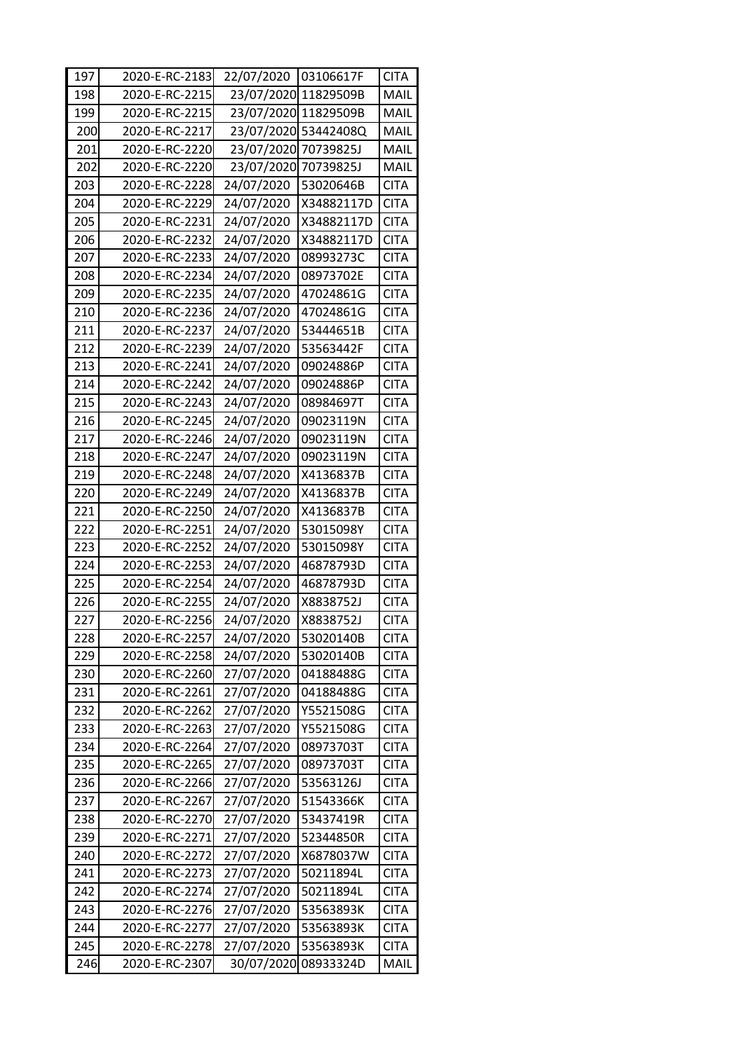| 197 | 2020-E-RC-2183 | 22/07/2020           | 03106617F            | <b>CITA</b> |
|-----|----------------|----------------------|----------------------|-------------|
| 198 | 2020-E-RC-2215 | 23/07/2020 11829509B |                      | MAIL        |
| 199 | 2020-E-RC-2215 | 23/07/2020 11829509B |                      | MAIL        |
| 200 | 2020-E-RC-2217 |                      | 23/07/2020 53442408Q | MAIL        |
| 201 | 2020-E-RC-2220 | 23/07/2020           | 70739825J            | MAIL        |
| 202 | 2020-E-RC-2220 | 23/07/2020 70739825J |                      | MAIL        |
| 203 | 2020-E-RC-2228 | 24/07/2020           | 53020646B            | <b>CITA</b> |
| 204 | 2020-E-RC-2229 | 24/07/2020           | X34882117D           | <b>CITA</b> |
| 205 | 2020-E-RC-2231 | 24/07/2020           | X34882117D           | <b>CITA</b> |
| 206 | 2020-E-RC-2232 | 24/07/2020           | X34882117D           | <b>CITA</b> |
| 207 | 2020-E-RC-2233 | 24/07/2020           | 08993273C            | <b>CITA</b> |
| 208 | 2020-E-RC-2234 | 24/07/2020           | 08973702E            | <b>CITA</b> |
| 209 | 2020-E-RC-2235 | 24/07/2020           | 47024861G            | <b>CITA</b> |
| 210 | 2020-E-RC-2236 | 24/07/2020           | 47024861G            | <b>CITA</b> |
| 211 | 2020-E-RC-2237 | 24/07/2020           | 53444651B            | <b>CITA</b> |
| 212 | 2020-E-RC-2239 | 24/07/2020           | 53563442F            | <b>CITA</b> |
| 213 | 2020-E-RC-2241 | 24/07/2020           | 09024886P            | <b>CITA</b> |
| 214 | 2020-E-RC-2242 | 24/07/2020           | 09024886P            | <b>CITA</b> |
| 215 | 2020-E-RC-2243 | 24/07/2020           | 08984697T            | <b>CITA</b> |
| 216 | 2020-E-RC-2245 | 24/07/2020           | 09023119N            | <b>CITA</b> |
| 217 | 2020-E-RC-2246 | 24/07/2020           | 09023119N            | <b>CITA</b> |
| 218 | 2020-E-RC-2247 | 24/07/2020           | 09023119N            | <b>CITA</b> |
| 219 | 2020-E-RC-2248 | 24/07/2020           | X4136837B            | <b>CITA</b> |
| 220 | 2020-E-RC-2249 | 24/07/2020           | X4136837B            | <b>CITA</b> |
| 221 | 2020-E-RC-2250 | 24/07/2020           | X4136837B            | <b>CITA</b> |
| 222 | 2020-E-RC-2251 | 24/07/2020           | 53015098Y            | <b>CITA</b> |
| 223 | 2020-E-RC-2252 | 24/07/2020           | 53015098Y            | <b>CITA</b> |
| 224 | 2020-E-RC-2253 | 24/07/2020           | 46878793D            | <b>CITA</b> |
| 225 | 2020-E-RC-2254 | 24/07/2020           | 46878793D            | <b>CITA</b> |
| 226 | 2020-E-RC-2255 | 24/07/2020           | X8838752J            | <b>CITA</b> |
| 227 | 2020-E-RC-2256 | 24/07/2020           | X8838752J            | <b>CITA</b> |
| 228 | 2020-E-RC-2257 | 24/07/2020           | 53020140B            | <b>CITA</b> |
| 229 | 2020-E-RC-2258 | 24/07/2020           | 53020140B            | <b>CITA</b> |
| 230 | 2020-E-RC-2260 | 27/07/2020           | 04188488G            | <b>CITA</b> |
| 231 | 2020-E-RC-2261 | 27/07/2020           | 04188488G            | <b>CITA</b> |
| 232 | 2020-E-RC-2262 | 27/07/2020           | Y5521508G            | <b>CITA</b> |
| 233 | 2020-E-RC-2263 | 27/07/2020           | Y5521508G            | <b>CITA</b> |
| 234 | 2020-E-RC-2264 | 27/07/2020           | 08973703T            | <b>CITA</b> |
| 235 | 2020-E-RC-2265 | 27/07/2020           | 08973703T            | <b>CITA</b> |
| 236 | 2020-E-RC-2266 | 27/07/2020           | 53563126J            | <b>CITA</b> |
| 237 | 2020-E-RC-2267 | 27/07/2020           | 51543366K            | <b>CITA</b> |
| 238 | 2020-E-RC-2270 | 27/07/2020           | 53437419R            | <b>CITA</b> |
| 239 | 2020-E-RC-2271 | 27/07/2020           | 52344850R            | <b>CITA</b> |
| 240 | 2020-E-RC-2272 | 27/07/2020           | X6878037W            | <b>CITA</b> |
| 241 | 2020-E-RC-2273 | 27/07/2020           | 50211894L            | <b>CITA</b> |
| 242 | 2020-E-RC-2274 | 27/07/2020           | 50211894L            | <b>CITA</b> |
| 243 | 2020-E-RC-2276 | 27/07/2020           | 53563893K            | <b>CITA</b> |
| 244 | 2020-E-RC-2277 | 27/07/2020           | 53563893K            | <b>CITA</b> |
| 245 | 2020-E-RC-2278 | 27/07/2020           | 53563893K            | <b>CITA</b> |
| 246 | 2020-E-RC-2307 | 30/07/2020           | 08933324D            | MAIL        |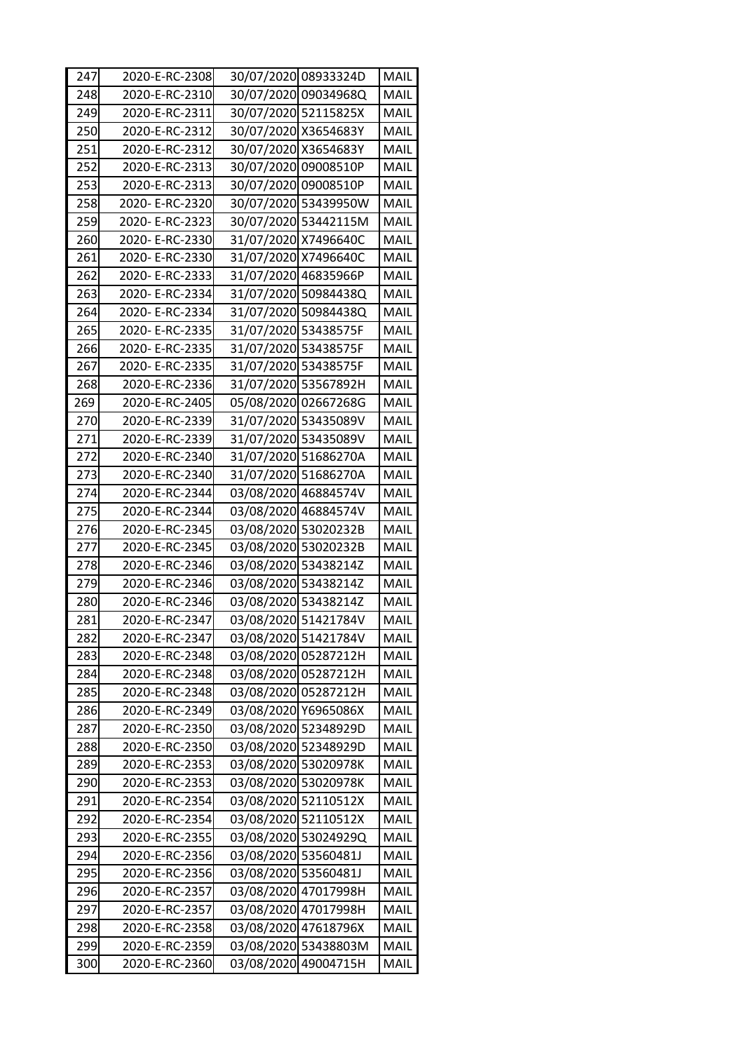| 247 | 2020-E-RC-2308  |                      | 30/07/2020 08933324D | MAIL        |
|-----|-----------------|----------------------|----------------------|-------------|
| 248 | 2020-E-RC-2310  |                      | 30/07/2020 09034968Q | MAIL        |
| 249 | 2020-E-RC-2311  | 30/07/2020 52115825X |                      | <b>MAIL</b> |
| 250 | 2020-E-RC-2312  | 30/07/2020 X3654683Y |                      | MAIL        |
| 251 | 2020-E-RC-2312  | 30/07/2020 X3654683Y |                      | MAIL        |
| 252 | 2020-E-RC-2313  | 30/07/2020 09008510P |                      | MAIL        |
| 253 | 2020-E-RC-2313  | 30/07/2020 09008510P |                      | MAIL        |
| 258 | 2020- E-RC-2320 |                      | 30/07/2020 53439950W | MAIL        |
| 259 | 2020- E-RC-2323 |                      | 30/07/2020 53442115M | MAIL        |
| 260 | 2020- E-RC-2330 | 31/07/2020 X7496640C |                      | MAIL        |
| 261 | 2020- E-RC-2330 | 31/07/2020 X7496640C |                      | MAIL        |
| 262 | 2020-E-RC-2333  | 31/07/2020 46835966P |                      | MAIL        |
| 263 | 2020- E-RC-2334 |                      | 31/07/2020 50984438Q | <b>MAIL</b> |
| 264 | 2020- E-RC-2334 |                      | 31/07/2020 50984438Q | MAIL        |
| 265 | 2020- E-RC-2335 | 31/07/2020 53438575F |                      | <b>MAIL</b> |
| 266 | 2020- E-RC-2335 | 31/07/2020 53438575F |                      | MAIL        |
| 267 | 2020- E-RC-2335 | 31/07/2020 53438575F |                      | MAIL        |
| 268 | 2020-E-RC-2336  | 31/07/2020 53567892H |                      | MAIL        |
| 269 | 2020-E-RC-2405  |                      | 05/08/2020 02667268G | MAIL        |
| 270 | 2020-E-RC-2339  | 31/07/2020 53435089V |                      | MAIL        |
| 271 | 2020-E-RC-2339  | 31/07/2020 53435089V |                      | MAIL        |
| 272 | 2020-E-RC-2340  | 31/07/2020 51686270A |                      | MAIL        |
| 273 | 2020-E-RC-2340  | 31/07/2020 51686270A |                      | MAIL        |
| 274 | 2020-E-RC-2344  | 03/08/2020 46884574V |                      | MAIL        |
| 275 | 2020-E-RC-2344  | 03/08/2020 46884574V |                      | <b>MAIL</b> |
| 276 | 2020-E-RC-2345  | 03/08/2020 53020232B |                      | MAIL        |
| 277 | 2020-E-RC-2345  | 03/08/2020 53020232B |                      | MAIL        |
| 278 | 2020-E-RC-2346  | 03/08/2020 53438214Z |                      | MAIL        |
| 279 | 2020-E-RC-2346  | 03/08/2020 53438214Z |                      | MAIL        |
| 280 | 2020-E-RC-2346  | 03/08/2020 53438214Z |                      | MAIL        |
| 281 | 2020-E-RC-2347  | 03/08/2020 51421784V |                      | MAIL        |
| 282 | 2020-E-RC-2347  | 03/08/2020 51421784V |                      | MAIL        |
| 283 | 2020-E-RC-2348  | 03/08/2020 05287212H |                      | MAIL        |
| 284 | 2020-E-RC-2348  | 03/08/2020 05287212H |                      | MAIL        |
| 285 | 2020-E-RC-2348  | 03/08/2020 05287212H |                      | MAIL        |
| 286 | 2020-E-RC-2349  | 03/08/2020 Y6965086X |                      | MAIL        |
| 287 | 2020-E-RC-2350  | 03/08/2020 52348929D |                      | MAIL        |
| 288 | 2020-E-RC-2350  | 03/08/2020 52348929D |                      | MAIL        |
| 289 | 2020-E-RC-2353  | 03/08/2020 53020978K |                      | MAIL        |
| 290 | 2020-E-RC-2353  | 03/08/2020 53020978K |                      | MAIL        |
| 291 | 2020-E-RC-2354  | 03/08/2020 52110512X |                      | MAIL        |
| 292 | 2020-E-RC-2354  | 03/08/2020 52110512X |                      | MAIL        |
| 293 | 2020-E-RC-2355  |                      | 03/08/2020 53024929Q | MAIL        |
| 294 | 2020-E-RC-2356  | 03/08/2020 53560481J |                      | MAIL        |
| 295 | 2020-E-RC-2356  | 03/08/2020 53560481J |                      | MAIL        |
| 296 | 2020-E-RC-2357  | 03/08/2020 47017998H |                      | MAIL        |
| 297 | 2020-E-RC-2357  | 03/08/2020 47017998H |                      | MAIL        |
| 298 | 2020-E-RC-2358  | 03/08/2020 47618796X |                      | MAIL        |
| 299 | 2020-E-RC-2359  |                      | 03/08/2020 53438803M | MAIL        |
| 300 | 2020-E-RC-2360  |                      | 03/08/2020 49004715H | MAIL        |
|     |                 |                      |                      |             |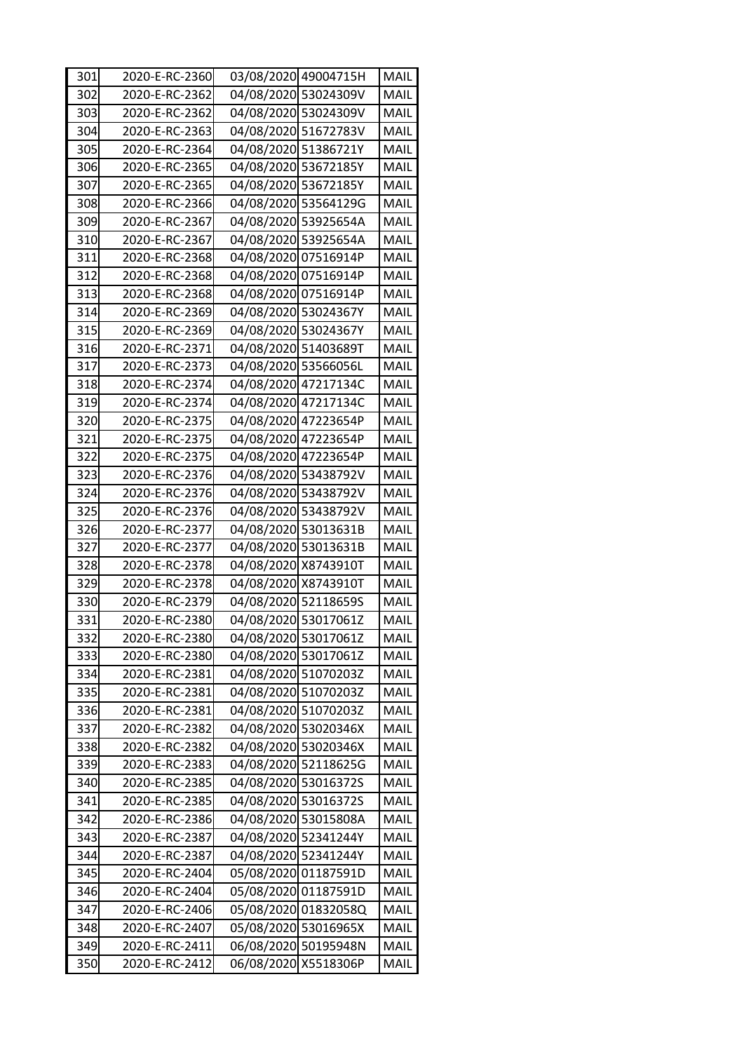| 301 | 2020-E-RC-2360 |                      | 03/08/2020 49004715H | MAIL        |
|-----|----------------|----------------------|----------------------|-------------|
| 302 | 2020-E-RC-2362 |                      | 04/08/2020 53024309V | MAIL        |
| 303 | 2020-E-RC-2362 |                      | 04/08/2020 53024309V | MAIL        |
| 304 | 2020-E-RC-2363 | 04/08/2020 51672783V |                      | MAIL        |
| 305 | 2020-E-RC-2364 | 04/08/2020 51386721Y |                      | MAIL        |
| 306 | 2020-E-RC-2365 | 04/08/2020 53672185Y |                      | MAIL        |
| 307 | 2020-E-RC-2365 | 04/08/2020 53672185Y |                      | MAIL        |
| 308 | 2020-E-RC-2366 |                      | 04/08/2020 53564129G | MAIL        |
| 309 | 2020-E-RC-2367 |                      | 04/08/2020 53925654A | MAIL        |
| 310 | 2020-E-RC-2367 |                      | 04/08/2020 53925654A | MAIL        |
| 311 | 2020-E-RC-2368 | 04/08/2020 07516914P |                      | MAIL        |
| 312 | 2020-E-RC-2368 | 04/08/2020 07516914P |                      | MAIL        |
| 313 | 2020-E-RC-2368 | 04/08/2020 07516914P |                      | MAIL        |
| 314 | 2020-E-RC-2369 | 04/08/2020 53024367Y |                      | MAIL        |
| 315 | 2020-E-RC-2369 | 04/08/2020 53024367Y |                      | MAIL        |
| 316 | 2020-E-RC-2371 | 04/08/2020 51403689T |                      | MAIL        |
| 317 | 2020-E-RC-2373 | 04/08/2020 53566056L |                      | MAIL        |
| 318 | 2020-E-RC-2374 | 04/08/2020 47217134C |                      | MAIL        |
| 319 | 2020-E-RC-2374 | 04/08/2020 47217134C |                      | MAIL        |
| 320 | 2020-E-RC-2375 | 04/08/2020 47223654P |                      | MAIL        |
| 321 | 2020-E-RC-2375 | 04/08/2020 47223654P |                      | MAIL        |
| 322 | 2020-E-RC-2375 | 04/08/2020 47223654P |                      | MAIL        |
| 323 | 2020-E-RC-2376 | 04/08/2020 53438792V |                      | MAIL        |
| 324 | 2020-E-RC-2376 |                      | 04/08/2020 53438792V | MAIL        |
| 325 | 2020-E-RC-2376 |                      | 04/08/2020 53438792V | MAIL        |
| 326 | 2020-E-RC-2377 | 04/08/2020 53013631B |                      | MAIL        |
| 327 | 2020-E-RC-2377 | 04/08/2020 53013631B |                      | MAIL        |
| 328 | 2020-E-RC-2378 | 04/08/2020 X8743910T |                      | MAIL        |
| 329 | 2020-E-RC-2378 | 04/08/2020 X8743910T |                      | MAIL        |
| 330 | 2020-E-RC-2379 | 04/08/2020 52118659S |                      | MAIL        |
| 331 | 2020-E-RC-2380 | 04/08/2020 53017061Z |                      | MAIL        |
| 332 | 2020-E-RC-2380 | 04/08/2020 53017061Z |                      | <b>MAIL</b> |
| 333 | 2020-E-RC-2380 | 04/08/2020 53017061Z |                      | MAIL        |
| 334 | 2020-E-RC-2381 | 04/08/2020 51070203Z |                      | MAIL        |
| 335 | 2020-E-RC-2381 | 04/08/2020 51070203Z |                      | MAIL        |
| 336 | 2020-E-RC-2381 | 04/08/2020 51070203Z |                      | MAIL        |
| 337 | 2020-E-RC-2382 | 04/08/2020 53020346X |                      | MAIL        |
| 338 | 2020-E-RC-2382 | 04/08/2020 53020346X |                      | MAIL        |
| 339 | 2020-E-RC-2383 |                      | 04/08/2020 52118625G | MAIL        |
| 340 | 2020-E-RC-2385 | 04/08/2020 53016372S |                      | MAIL        |
| 341 | 2020-E-RC-2385 | 04/08/2020 53016372S |                      | MAIL        |
| 342 | 2020-E-RC-2386 |                      | 04/08/2020 53015808A | MAIL        |
| 343 | 2020-E-RC-2387 | 04/08/2020 52341244Y |                      | MAIL        |
| 344 | 2020-E-RC-2387 | 04/08/2020 52341244Y |                      | MAIL        |
| 345 | 2020-E-RC-2404 |                      | 05/08/2020 01187591D | MAIL        |
| 346 | 2020-E-RC-2404 |                      | 05/08/2020 01187591D | MAIL        |
| 347 | 2020-E-RC-2406 |                      | 05/08/2020 01832058Q | MAIL        |
| 348 | 2020-E-RC-2407 | 05/08/2020 53016965X |                      | MAIL        |
| 349 | 2020-E-RC-2411 |                      | 06/08/2020 50195948N | MAIL        |
| 350 | 2020-E-RC-2412 | 06/08/2020 X5518306P |                      | MAIL        |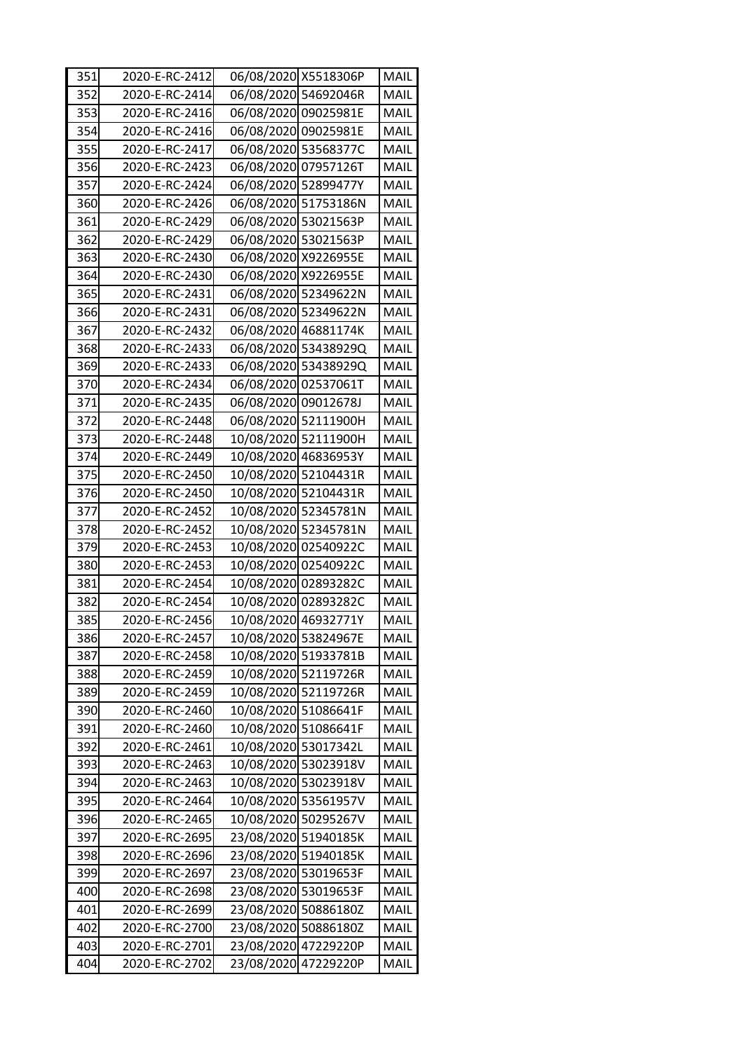| 351 | 2020-E-RC-2412 | 06/08/2020 X5518306P |                      | MAIL |
|-----|----------------|----------------------|----------------------|------|
| 352 | 2020-E-RC-2414 | 06/08/2020 54692046R |                      | MAIL |
| 353 | 2020-E-RC-2416 | 06/08/2020 09025981E |                      | MAIL |
| 354 | 2020-E-RC-2416 | 06/08/2020 09025981E |                      | MAIL |
| 355 | 2020-E-RC-2417 | 06/08/2020 53568377C |                      | MAIL |
| 356 | 2020-E-RC-2423 | 06/08/2020 07957126T |                      | MAIL |
| 357 | 2020-E-RC-2424 | 06/08/2020 52899477Y |                      | MAIL |
| 360 | 2020-E-RC-2426 |                      | 06/08/2020 51753186N | MAIL |
| 361 | 2020-E-RC-2429 | 06/08/2020 53021563P |                      | MAIL |
| 362 | 2020-E-RC-2429 | 06/08/2020 53021563P |                      | MAIL |
| 363 | 2020-E-RC-2430 | 06/08/2020 X9226955E |                      | MAIL |
| 364 | 2020-E-RC-2430 | 06/08/2020 X9226955E |                      | MAIL |
| 365 | 2020-E-RC-2431 |                      | 06/08/2020 52349622N | MAIL |
| 366 | 2020-E-RC-2431 |                      | 06/08/2020 52349622N | MAIL |
| 367 | 2020-E-RC-2432 | 06/08/2020 46881174K |                      | MAIL |
| 368 | 2020-E-RC-2433 |                      | 06/08/2020 53438929Q | MAIL |
| 369 | 2020-E-RC-2433 |                      | 06/08/2020 53438929Q | MAIL |
| 370 | 2020-E-RC-2434 | 06/08/2020 02537061T |                      | MAIL |
| 371 | 2020-E-RC-2435 | 06/08/2020 09012678J |                      | MAIL |
| 372 | 2020-E-RC-2448 |                      | 06/08/2020 52111900H | MAIL |
| 373 | 2020-E-RC-2448 |                      | 10/08/2020 52111900H | MAIL |
| 374 | 2020-E-RC-2449 |                      | 10/08/2020 46836953Y | MAIL |
| 375 | 2020-E-RC-2450 |                      | 10/08/2020 52104431R | MAIL |
| 376 | 2020-E-RC-2450 |                      | 10/08/2020 52104431R | MAIL |
| 377 | 2020-E-RC-2452 |                      | 10/08/2020 52345781N | MAIL |
| 378 | 2020-E-RC-2452 |                      | 10/08/2020 52345781N | MAIL |
| 379 | 2020-E-RC-2453 |                      | 10/08/2020 02540922C | MAIL |
| 380 | 2020-E-RC-2453 |                      | 10/08/2020 02540922C | MAIL |
| 381 | 2020-E-RC-2454 |                      | 10/08/2020 02893282C | MAIL |
| 382 | 2020-E-RC-2454 |                      | 10/08/2020 02893282C | MAIL |
| 385 | 2020-E-RC-2456 |                      | 10/08/2020 46932771Y | MAIL |
| 386 | 2020-E-RC-2457 | 10/08/2020 53824967E |                      | MAIL |
| 387 | 2020-E-RC-2458 |                      | 10/08/2020 51933781B | MAIL |
| 388 | 2020-E-RC-2459 |                      | 10/08/2020 52119726R | MAIL |
| 389 | 2020-E-RC-2459 |                      | 10/08/2020 52119726R | MAIL |
| 390 | 2020-E-RC-2460 | 10/08/2020 51086641F |                      | MAIL |
| 391 | 2020-E-RC-2460 | 10/08/2020 51086641F |                      | MAIL |
| 392 | 2020-E-RC-2461 | 10/08/2020 53017342L |                      | MAIL |
| 393 | 2020-E-RC-2463 |                      | 10/08/2020 53023918V | MAIL |
| 394 | 2020-E-RC-2463 |                      | 10/08/2020 53023918V | MAIL |
| 395 | 2020-E-RC-2464 |                      | 10/08/2020 53561957V | MAIL |
| 396 | 2020-E-RC-2465 |                      | 10/08/2020 50295267V | MAIL |
| 397 | 2020-E-RC-2695 | 23/08/2020 51940185K |                      | MAIL |
| 398 | 2020-E-RC-2696 | 23/08/2020 51940185K |                      | MAIL |
| 399 | 2020-E-RC-2697 | 23/08/2020 53019653F |                      | MAIL |
| 400 | 2020-E-RC-2698 | 23/08/2020 53019653F |                      | MAIL |
|     |                | 23/08/2020 50886180Z |                      |      |
| 401 | 2020-E-RC-2699 |                      |                      | MAIL |
| 402 | 2020-E-RC-2700 | 23/08/2020 50886180Z |                      | MAIL |
| 403 | 2020-E-RC-2701 | 23/08/2020 47229220P |                      | MAIL |
| 404 | 2020-E-RC-2702 | 23/08/2020 47229220P |                      | MAIL |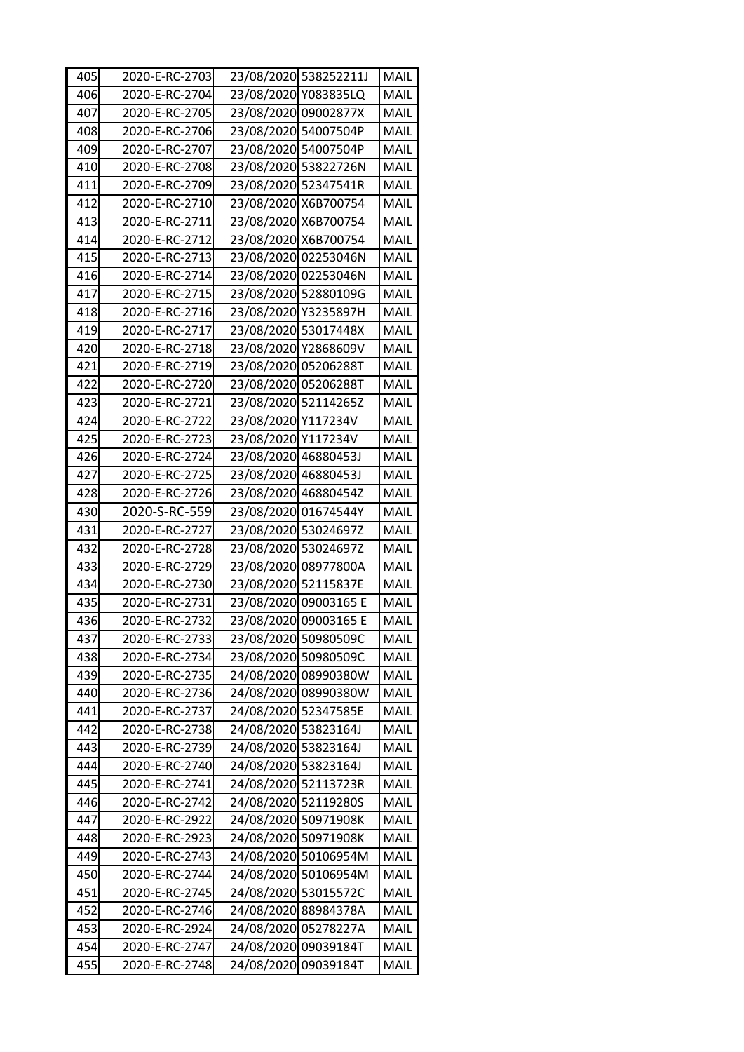| 405 | 2020-E-RC-2703 |                      | 23/08/2020 538252211J | MAIL        |
|-----|----------------|----------------------|-----------------------|-------------|
| 406 | 2020-E-RC-2704 |                      | 23/08/2020 Y083835LQ  | MAIL        |
| 407 | 2020-E-RC-2705 | 23/08/2020 09002877X |                       | MAIL        |
| 408 | 2020-E-RC-2706 | 23/08/2020 54007504P |                       | MAIL        |
| 409 | 2020-E-RC-2707 | 23/08/2020 54007504P |                       | MAIL        |
| 410 | 2020-E-RC-2708 |                      | 23/08/2020 53822726N  | MAIL        |
| 411 | 2020-E-RC-2709 | 23/08/2020 52347541R |                       | MAIL        |
| 412 | 2020-E-RC-2710 | 23/08/2020 X6B700754 |                       | MAIL        |
| 413 | 2020-E-RC-2711 | 23/08/2020 X6B700754 |                       | MAIL        |
| 414 | 2020-E-RC-2712 | 23/08/2020 X6B700754 |                       | MAIL        |
| 415 | 2020-E-RC-2713 |                      | 23/08/2020 02253046N  | MAIL        |
| 416 | 2020-E-RC-2714 |                      | 23/08/2020 02253046N  | MAIL        |
| 417 | 2020-E-RC-2715 |                      | 23/08/2020 52880109G  | MAIL        |
| 418 | 2020-E-RC-2716 | 23/08/2020 Y3235897H |                       | MAIL        |
| 419 | 2020-E-RC-2717 | 23/08/2020 53017448X |                       | MAIL        |
| 420 | 2020-E-RC-2718 | 23/08/2020 Y2868609V |                       | MAIL        |
| 421 | 2020-E-RC-2719 | 23/08/2020 05206288T |                       | MAIL        |
| 422 | 2020-E-RC-2720 | 23/08/2020 05206288T |                       | MAIL        |
| 423 | 2020-E-RC-2721 | 23/08/2020 52114265Z |                       | MAIL        |
| 424 | 2020-E-RC-2722 | 23/08/2020 Y117234V  |                       | <b>MAIL</b> |
| 425 | 2020-E-RC-2723 | 23/08/2020 Y117234V  |                       | MAIL        |
| 426 | 2020-E-RC-2724 | 23/08/2020 46880453J |                       | MAIL        |
| 427 | 2020-E-RC-2725 | 23/08/2020 46880453J |                       | MAIL        |
| 428 | 2020-E-RC-2726 | 23/08/2020 46880454Z |                       | MAIL        |
| 430 | 2020-S-RC-559  | 23/08/2020 01674544Y |                       | MAIL        |
| 431 | 2020-E-RC-2727 | 23/08/2020 53024697Z |                       | MAIL        |
| 432 | 2020-E-RC-2728 | 23/08/2020 53024697Z |                       | MAIL        |
| 433 | 2020-E-RC-2729 |                      | 23/08/2020 08977800A  | MAIL        |
| 434 | 2020-E-RC-2730 | 23/08/2020 52115837E |                       | MAIL        |
| 435 | 2020-E-RC-2731 |                      | 23/08/2020 09003165 E | MAIL        |
| 436 | 2020-E-RC-2732 |                      | 23/08/2020 09003165 E | MAIL        |
| 437 | 2020-E-RC-2733 | 23/08/2020 50980509C |                       | <b>MAIL</b> |
| 438 | 2020-E-RC-2734 | 23/08/2020 50980509C |                       | MAIL        |
| 439 | 2020-E-RC-2735 |                      | 24/08/2020 08990380W  | MAIL        |
| 440 | 2020-E-RC-2736 |                      | 24/08/2020 08990380W  | MAIL        |
| 441 | 2020-E-RC-2737 | 24/08/2020 52347585E |                       | MAIL        |
| 442 | 2020-E-RC-2738 | 24/08/2020 53823164J |                       | MAIL        |
| 443 | 2020-E-RC-2739 | 24/08/2020 53823164J |                       | MAIL        |
| 444 | 2020-E-RC-2740 | 24/08/2020 53823164J |                       | MAIL        |
| 445 | 2020-E-RC-2741 | 24/08/2020 52113723R |                       | MAIL        |
| 446 | 2020-E-RC-2742 | 24/08/2020 52119280S |                       | MAIL        |
| 447 | 2020-E-RC-2922 | 24/08/2020 50971908K |                       | MAIL        |
| 448 | 2020-E-RC-2923 | 24/08/2020 50971908K |                       | MAIL        |
| 449 | 2020-E-RC-2743 |                      | 24/08/2020 50106954M  | MAIL        |
| 450 | 2020-E-RC-2744 |                      | 24/08/2020 50106954M  | MAIL        |
| 451 | 2020-E-RC-2745 |                      | 24/08/2020 53015572C  | MAIL        |
| 452 | 2020-E-RC-2746 |                      | 24/08/2020 88984378A  | MAIL        |
| 453 | 2020-E-RC-2924 |                      | 24/08/2020 05278227A  | MAIL        |
| 454 | 2020-E-RC-2747 | 24/08/2020 09039184T |                       | MAIL        |
| 455 | 2020-E-RC-2748 | 24/08/2020 09039184T |                       | MAIL        |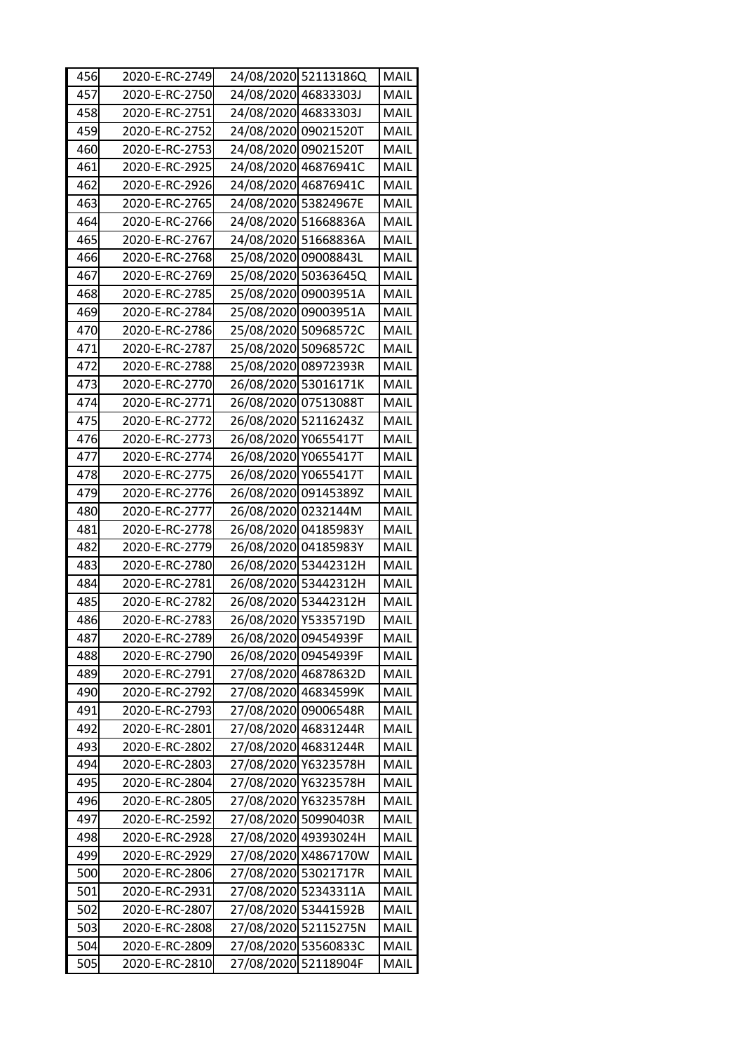| 456 | 2020-E-RC-2749 |                      | 24/08/2020 52113186Q | MAIL        |
|-----|----------------|----------------------|----------------------|-------------|
| 457 | 2020-E-RC-2750 | 24/08/2020 46833303J |                      | MAIL        |
| 458 | 2020-E-RC-2751 | 24/08/2020 46833303J |                      | MAIL        |
| 459 | 2020-E-RC-2752 | 24/08/2020 09021520T |                      | MAIL        |
| 460 | 2020-E-RC-2753 | 24/08/2020 09021520T |                      | MAIL        |
| 461 | 2020-E-RC-2925 | 24/08/2020 46876941C |                      | MAIL        |
| 462 | 2020-E-RC-2926 | 24/08/2020 46876941C |                      | MAIL        |
| 463 | 2020-E-RC-2765 | 24/08/2020 53824967E |                      | MAIL        |
| 464 | 2020-E-RC-2766 | 24/08/2020 51668836A |                      | MAIL        |
| 465 | 2020-E-RC-2767 |                      | 24/08/2020 51668836A | MAIL        |
| 466 | 2020-E-RC-2768 | 25/08/2020 09008843L |                      | MAIL        |
| 467 | 2020-E-RC-2769 |                      | 25/08/2020 50363645Q | MAIL        |
| 468 | 2020-E-RC-2785 |                      | 25/08/2020 09003951A | MAIL        |
| 469 | 2020-E-RC-2784 |                      | 25/08/2020 09003951A | MAIL        |
| 470 | 2020-E-RC-2786 | 25/08/2020 50968572C |                      | MAIL        |
| 471 | 2020-E-RC-2787 | 25/08/2020 50968572C |                      | MAIL        |
| 472 | 2020-E-RC-2788 | 25/08/2020 08972393R |                      | MAIL        |
| 473 | 2020-E-RC-2770 | 26/08/2020 53016171K |                      | MAIL        |
| 474 | 2020-E-RC-2771 | 26/08/2020 07513088T |                      | MAIL        |
| 475 | 2020-E-RC-2772 | 26/08/2020 52116243Z |                      | <b>MAIL</b> |
| 476 | 2020-E-RC-2773 | 26/08/2020 Y0655417T |                      | MAIL        |
| 477 | 2020-E-RC-2774 | 26/08/2020 Y0655417T |                      | MAIL        |
| 478 | 2020-E-RC-2775 | 26/08/2020 Y0655417T |                      | MAIL        |
| 479 | 2020-E-RC-2776 | 26/08/2020 09145389Z |                      | MAIL        |
| 480 | 2020-E-RC-2777 | 26/08/2020 0232144M  |                      | MAIL        |
| 481 | 2020-E-RC-2778 | 26/08/2020 04185983Y |                      | MAIL        |
| 482 | 2020-E-RC-2779 | 26/08/2020 04185983Y |                      | MAIL        |
| 483 | 2020-E-RC-2780 |                      | 26/08/2020 53442312H | MAIL        |
| 484 | 2020-E-RC-2781 |                      | 26/08/2020 53442312H | MAIL        |
| 485 | 2020-E-RC-2782 |                      | 26/08/2020 53442312H | MAIL        |
| 486 | 2020-E-RC-2783 | 26/08/2020 Y5335719D |                      | MAIL        |
| 487 | 2020-E-RC-2789 | 26/08/2020 09454939F |                      | MAIL        |
| 488 | 2020-E-RC-2790 | 26/08/2020 09454939F |                      | MAIL        |
| 489 | 2020-E-RC-2791 |                      | 27/08/2020 46878632D | MAIL        |
| 490 | 2020-E-RC-2792 | 27/08/2020 46834599K |                      | MAIL        |
| 491 | 2020-E-RC-2793 | 27/08/2020 09006548R |                      | MAIL        |
| 492 | 2020-E-RC-2801 | 27/08/2020 46831244R |                      | MAIL        |
| 493 | 2020-E-RC-2802 | 27/08/2020 46831244R |                      | MAIL        |
| 494 | 2020-E-RC-2803 |                      | 27/08/2020 Y6323578H | MAIL        |
| 495 | 2020-E-RC-2804 | 27/08/2020 Y6323578H |                      | MAIL        |
| 496 | 2020-E-RC-2805 |                      | 27/08/2020 Y6323578H | MAIL        |
| 497 | 2020-E-RC-2592 | 27/08/2020 50990403R |                      | MAIL        |
| 498 | 2020-E-RC-2928 |                      | 27/08/2020 49393024H | MAIL        |
| 499 | 2020-E-RC-2929 |                      | 27/08/2020 X4867170W | MAIL        |
| 500 | 2020-E-RC-2806 | 27/08/2020 53021717R |                      | MAIL        |
| 501 | 2020-E-RC-2931 |                      | 27/08/2020 52343311A | MAIL        |
| 502 | 2020-E-RC-2807 | 27/08/2020 53441592B |                      | MAIL        |
| 503 | 2020-E-RC-2808 |                      | 27/08/2020 52115275N | MAIL        |
| 504 | 2020-E-RC-2809 | 27/08/2020 53560833C |                      | MAIL        |
| 505 | 2020-E-RC-2810 | 27/08/2020 52118904F |                      | MAIL        |
|     |                |                      |                      |             |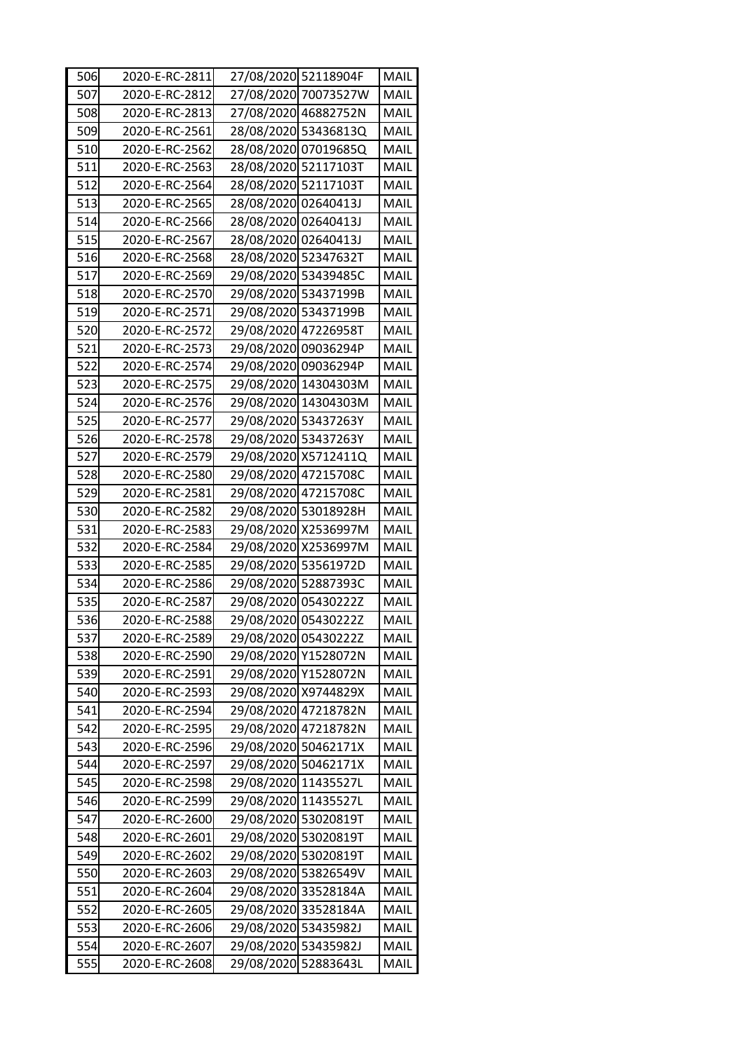| 506 | 2020-E-RC-2811 | 27/08/2020 52118904F |                      | MAIL        |
|-----|----------------|----------------------|----------------------|-------------|
| 507 | 2020-E-RC-2812 |                      | 27/08/2020 70073527W | MAIL        |
| 508 | 2020-E-RC-2813 |                      | 27/08/2020 46882752N | MAIL        |
| 509 | 2020-E-RC-2561 |                      | 28/08/2020 53436813Q | MAIL        |
| 510 | 2020-E-RC-2562 |                      | 28/08/2020 07019685Q | MAIL        |
| 511 | 2020-E-RC-2563 | 28/08/2020 52117103T |                      | MAIL        |
| 512 | 2020-E-RC-2564 | 28/08/2020 52117103T |                      | MAIL        |
| 513 | 2020-E-RC-2565 | 28/08/2020 02640413J |                      | MAIL        |
| 514 | 2020-E-RC-2566 | 28/08/2020 02640413J |                      | MAIL        |
| 515 | 2020-E-RC-2567 | 28/08/2020 02640413J |                      | MAIL        |
| 516 | 2020-E-RC-2568 | 28/08/2020 52347632T |                      | MAIL        |
| 517 | 2020-E-RC-2569 | 29/08/2020 53439485C |                      | MAIL        |
| 518 | 2020-E-RC-2570 | 29/08/2020 53437199B |                      | MAIL        |
| 519 | 2020-E-RC-2571 |                      | 29/08/2020 53437199B | MAIL        |
| 520 | 2020-E-RC-2572 | 29/08/2020 47226958T |                      | MAIL        |
| 521 | 2020-E-RC-2573 | 29/08/2020 09036294P |                      | MAIL        |
| 522 | 2020-E-RC-2574 | 29/08/2020 09036294P |                      | MAIL        |
| 523 | 2020-E-RC-2575 |                      | 29/08/2020 14304303M | MAIL        |
| 524 | 2020-E-RC-2576 |                      | 29/08/2020 14304303M | MAIL        |
| 525 | 2020-E-RC-2577 | 29/08/2020 53437263Y |                      | <b>MAIL</b> |
| 526 | 2020-E-RC-2578 | 29/08/2020 53437263Y |                      | MAIL        |
| 527 | 2020-E-RC-2579 |                      | 29/08/2020 X5712411Q | MAIL        |
| 528 | 2020-E-RC-2580 | 29/08/2020 47215708C |                      | MAIL        |
| 529 | 2020-E-RC-2581 | 29/08/2020 47215708C |                      | MAIL        |
| 530 | 2020-E-RC-2582 |                      | 29/08/2020 53018928H | MAIL        |
| 531 | 2020-E-RC-2583 |                      | 29/08/2020 X2536997M | MAIL        |
| 532 | 2020-E-RC-2584 |                      | 29/08/2020 X2536997M | MAIL        |
| 533 | 2020-E-RC-2585 |                      | 29/08/2020 53561972D | MAIL        |
| 534 | 2020-E-RC-2586 | 29/08/2020 52887393C |                      | MAIL        |
| 535 | 2020-E-RC-2587 | 29/08/2020 05430222Z |                      | MAIL        |
| 536 | 2020-E-RC-2588 | 29/08/2020 05430222Z |                      | MAIL        |
|     |                |                      |                      |             |
| 537 | 2020-E-RC-2589 | 29/08/2020 05430222Z |                      | MAIL        |
| 538 | 2020-E-RC-2590 |                      | 29/08/2020 Y1528072N | MAIL        |
| 539 | 2020-E-RC-2591 |                      | 29/08/2020 Y1528072N | MAIL        |
| 540 | 2020-E-RC-2593 |                      | 29/08/2020 X9744829X | MAIL        |
| 541 | 2020-E-RC-2594 |                      | 29/08/2020 47218782N | MAIL        |
| 542 | 2020-E-RC-2595 |                      | 29/08/2020 47218782N | <b>MAIL</b> |
| 543 | 2020-E-RC-2596 |                      | 29/08/2020 50462171X | MAIL        |
| 544 | 2020-E-RC-2597 | 29/08/2020 50462171X |                      | MAIL        |
| 545 | 2020-E-RC-2598 | 29/08/2020 11435527L |                      | MAIL        |
| 546 | 2020-E-RC-2599 | 29/08/2020 11435527L |                      | MAIL        |
| 547 | 2020-E-RC-2600 | 29/08/2020 53020819T |                      | MAIL        |
| 548 | 2020-E-RC-2601 | 29/08/2020 53020819T |                      | MAIL        |
| 549 | 2020-E-RC-2602 | 29/08/2020 53020819T |                      | MAIL        |
| 550 | 2020-E-RC-2603 |                      | 29/08/2020 53826549V | MAIL        |
| 551 | 2020-E-RC-2604 |                      | 29/08/2020 33528184A | MAIL        |
| 552 | 2020-E-RC-2605 |                      | 29/08/2020 33528184A | MAIL        |
| 553 | 2020-E-RC-2606 | 29/08/2020 53435982J |                      | MAIL        |
| 554 | 2020-E-RC-2607 | 29/08/2020 53435982J |                      | MAIL        |
| 555 | 2020-E-RC-2608 | 29/08/2020 52883643L |                      | MAIL        |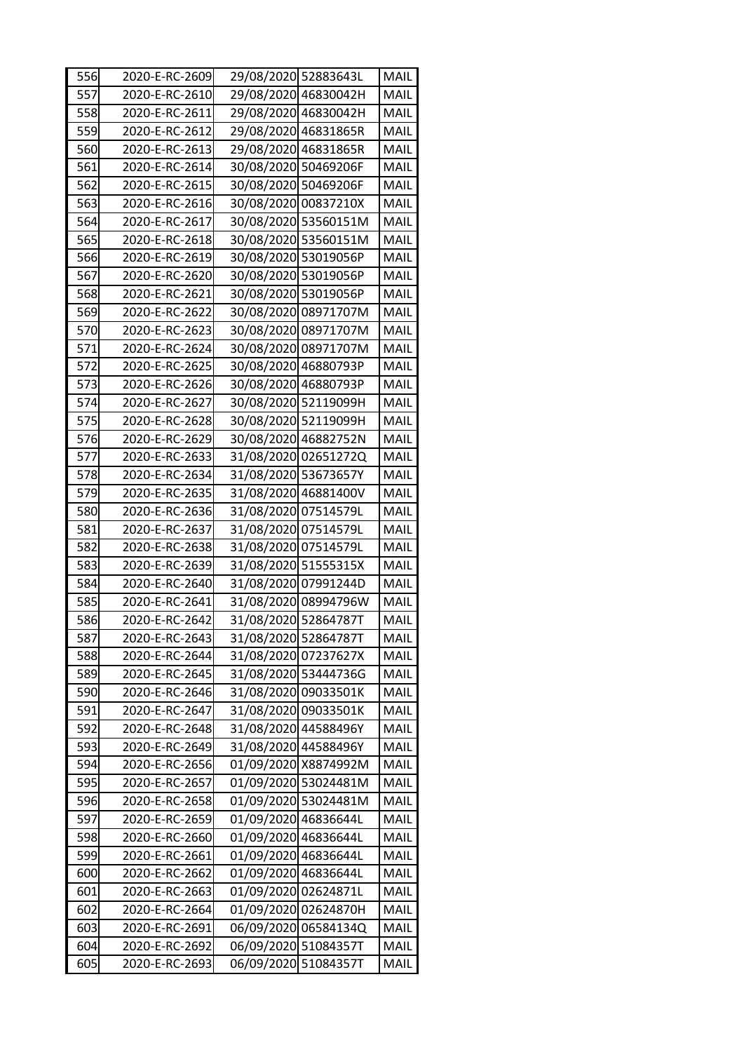| 556 | 2020-E-RC-2609 | 29/08/2020 52883643L |                      | MAIL |
|-----|----------------|----------------------|----------------------|------|
| 557 | 2020-E-RC-2610 |                      | 29/08/2020 46830042H | MAIL |
| 558 | 2020-E-RC-2611 |                      | 29/08/2020 46830042H | MAIL |
| 559 | 2020-E-RC-2612 | 29/08/2020 46831865R |                      | MAIL |
| 560 | 2020-E-RC-2613 |                      | 29/08/2020 46831865R | MAIL |
| 561 | 2020-E-RC-2614 | 30/08/2020 50469206F |                      | MAIL |
| 562 | 2020-E-RC-2615 | 30/08/2020 50469206F |                      | MAIL |
| 563 | 2020-E-RC-2616 |                      | 30/08/2020 00837210X | MAIL |
| 564 | 2020-E-RC-2617 |                      | 30/08/2020 53560151M | MAIL |
| 565 | 2020-E-RC-2618 |                      | 30/08/2020 53560151M | MAIL |
| 566 | 2020-E-RC-2619 | 30/08/2020 53019056P |                      | MAIL |
| 567 | 2020-E-RC-2620 | 30/08/2020 53019056P |                      | MAIL |
| 568 | 2020-E-RC-2621 | 30/08/2020 53019056P |                      | MAIL |
| 569 | 2020-E-RC-2622 |                      | 30/08/2020 08971707M | MAIL |
| 570 | 2020-E-RC-2623 |                      | 30/08/2020 08971707M | MAIL |
| 571 | 2020-E-RC-2624 |                      | 30/08/2020 08971707M | MAIL |
| 572 | 2020-E-RC-2625 | 30/08/2020 46880793P |                      | MAIL |
| 573 | 2020-E-RC-2626 | 30/08/2020 46880793P |                      | MAIL |
| 574 | 2020-E-RC-2627 |                      | 30/08/2020 52119099H | MAIL |
| 575 | 2020-E-RC-2628 |                      | 30/08/2020 52119099H | MAIL |
| 576 | 2020-E-RC-2629 |                      | 30/08/2020 46882752N | MAIL |
| 577 | 2020-E-RC-2633 |                      | 31/08/2020 02651272Q | MAIL |
| 578 | 2020-E-RC-2634 | 31/08/2020 53673657Y |                      | MAIL |
| 579 | 2020-E-RC-2635 |                      | 31/08/2020 46881400V | MAIL |
| 580 | 2020-E-RC-2636 | 31/08/2020 07514579L |                      | MAIL |
| 581 | 2020-E-RC-2637 | 31/08/2020 07514579L |                      | MAIL |
| 582 | 2020-E-RC-2638 | 31/08/2020 07514579L |                      | MAIL |
| 583 | 2020-E-RC-2639 | 31/08/2020 51555315X |                      | MAIL |
| 584 | 2020-E-RC-2640 |                      | 31/08/2020 07991244D | MAIL |
| 585 | 2020-E-RC-2641 |                      | 31/08/2020 08994796W | MAIL |
| 586 | 2020-E-RC-2642 | 31/08/2020 52864787T |                      | MAIL |
| 587 | 2020-E-RC-2643 | 31/08/2020 52864787T |                      | MAIL |
| 588 | 2020-E-RC-2644 |                      | 31/08/2020 07237627X | MAIL |
| 589 | 2020-E-RC-2645 |                      | 31/08/2020 53444736G | MAIL |
| 590 | 2020-E-RC-2646 | 31/08/2020 09033501K |                      | MAIL |
| 591 | 2020-E-RC-2647 | 31/08/2020 09033501K |                      | MAIL |
| 592 | 2020-E-RC-2648 | 31/08/2020 44588496Y |                      | MAIL |
| 593 | 2020-E-RC-2649 | 31/08/2020 44588496Y |                      | MAIL |
| 594 | 2020-E-RC-2656 |                      | 01/09/2020 X8874992M | MAIL |
| 595 | 2020-E-RC-2657 |                      | 01/09/2020 53024481M | MAIL |
| 596 | 2020-E-RC-2658 |                      | 01/09/2020 53024481M | MAIL |
| 597 | 2020-E-RC-2659 | 01/09/2020 46836644L |                      | MAIL |
| 598 | 2020-E-RC-2660 | 01/09/2020 46836644L |                      | MAIL |
| 599 | 2020-E-RC-2661 | 01/09/2020           | 46836644L            | MAIL |
| 600 | 2020-E-RC-2662 | 01/09/2020 46836644L |                      | MAIL |
| 601 | 2020-E-RC-2663 | 01/09/2020 02624871L |                      | MAIL |
| 602 | 2020-E-RC-2664 |                      | 01/09/2020 02624870H | MAIL |
| 603 | 2020-E-RC-2691 |                      | 06/09/2020 06584134Q | MAIL |
| 604 | 2020-E-RC-2692 | 06/09/2020 51084357T |                      | MAIL |
| 605 | 2020-E-RC-2693 | 06/09/2020 51084357T |                      | MAIL |
|     |                |                      |                      |      |